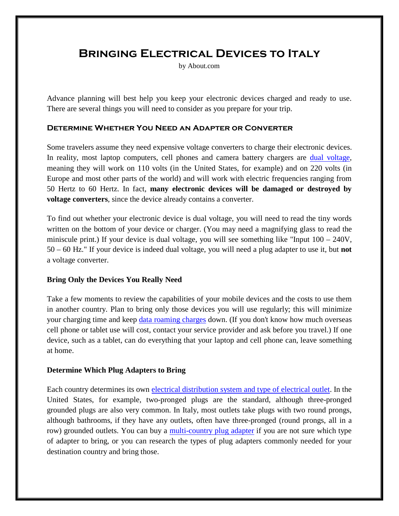# **Bringing Electrical Devices to Italy**

by About.com

Advance planning will best help you keep your electronic devices charged and ready to use. There are several things you will need to consider as you prepare for your trip.

#### **Determine Whether You Need an Adapter or Converter**

Some travelers assume they need expensive voltage converters to charge their electronic devices. In reality, most laptop computers, cell phones and camera battery chargers are [dual voltage,](http://mobileoffice.about.com/cs/gointernational/f/dualvoltage.htm) meaning they will work on 110 volts (in the United States, for example) and on 220 volts (in Europe and most other parts of the world) and will work with electric frequencies ranging from 50 Hertz to 60 Hertz. In fact, **many electronic devices will be damaged or destroyed by voltage converters**, since the device already contains a converter.

To find out whether your electronic device is dual voltage, you will need to read the tiny words written on the bottom of your device or charger. (You may need a magnifying glass to read the miniscule print.) If your device is dual voltage, you will see something like "Input  $100 - 240V$ , 50 – 60 Hz." If your device is indeed dual voltage, you will need a plug adapter to use it, but **not** a voltage converter.

## **Bring Only the Devices You Really Need**

Take a few moments to review the capabilities of your mobile devices and the costs to use them in another country. Plan to bring only those devices you will use regularly; this will minimize your charging time and keep [data roaming charges](http://mobileoffice.about.com/od/businesstravelersadvice/ht/avoid-data-roaming-charges.htm) down. (If you don't know how much overseas cell phone or tablet use will cost, contact your service provider and ask before you travel.) If one device, such as a tablet, can do everything that your laptop and cell phone can, leave something at home.

## **Determine Which Plug Adapters to Bring**

Each country determines its own [electrical distribution system and type of electrical outlet.](http://goeurope.about.com/cs/electricity/l/bl_electricity.htm) In the United States, for example, two-pronged plugs are the standard, although three-pronged grounded plugs are also very common. In Italy, most outlets take plugs with two round prongs, although bathrooms, if they have any outlets, often have three-pronged (round prongs, all in a row) grounded outlets. You can buy a [multi-country plug adapter](http://studenttravel.about.com/od/techtoys/gr/electricadapter.htm) if you are not sure which type of adapter to bring, or you can research the types of plug adapters commonly needed for your destination country and bring those.